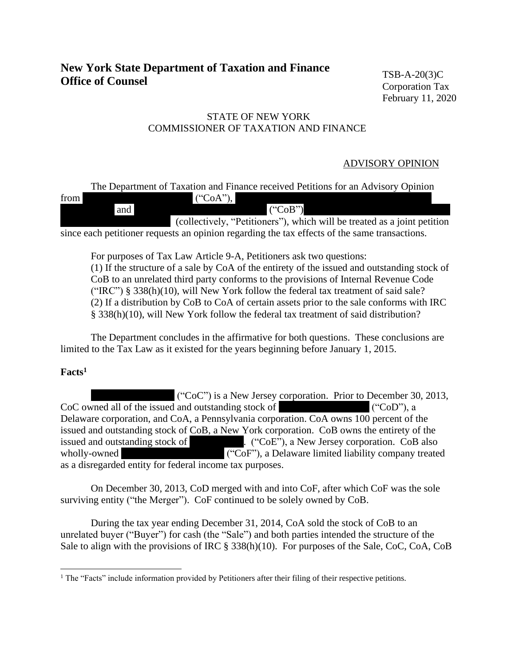# **New York State Department of Taxation and Finance Office of Counsel**

TSB-A-20(3)C Corporation Tax February 11, 2020

# STATE OF NEW YORK COMMISSIONER OF TAXATION AND FINANCE

### ADVISORY OPINION

|      |     | The Department of Taxation and Finance received Petitions for an Advisory Opinion                                                                                                                                                                                                                                  |
|------|-----|--------------------------------------------------------------------------------------------------------------------------------------------------------------------------------------------------------------------------------------------------------------------------------------------------------------------|
| from |     | $({}^\circ \text{CoA''}),$                                                                                                                                                                                                                                                                                         |
|      | and | $(^{\circ}CoB")$                                                                                                                                                                                                                                                                                                   |
|      |     | (collectively, "Petitioners"), which will be treated as a joint petition                                                                                                                                                                                                                                           |
|      |     | $\mathcal{L}$ , and $\mathcal{L}$ and $\mathcal{L}$ and $\mathcal{L}$ and $\mathcal{L}$ and $\mathcal{L}$ and $\mathcal{L}$ and $\mathcal{L}$ and $\mathcal{L}$ and $\mathcal{L}$ and $\mathcal{L}$ and $\mathcal{L}$ and $\mathcal{L}$ and $\mathcal{L}$ and $\mathcal{L}$ and $\mathcal{L}$ and $\mathcal{L}$ an |

since each petitioner requests an opinion regarding the tax effects of the same transactions.

For purposes of Tax Law Article 9-A, Petitioners ask two questions:

(1) If the structure of a sale by CoA of the entirety of the issued and outstanding stock of CoB to an unrelated third party conforms to the provisions of Internal Revenue Code ("IRC") § 338(h)(10), will New York follow the federal tax treatment of said sale? (2) If a distribution by CoB to CoA of certain assets prior to the sale conforms with IRC § 338(h)(10), will New York follow the federal tax treatment of said distribution?

The Department concludes in the affirmative for both questions. These conclusions are limited to the Tax Law as it existed for the years beginning before January 1, 2015.

# **Facts<sup>1</sup>**

 $(C^{\circ}C^{\circ})$  is a New Jersey corporation. Prior to December 30, 2013,  $CoC$  owned all of the issued and outstanding stock of  $(CoD^{\prime\prime})$ , a Delaware corporation, and CoA, a Pennsylvania corporation. CoA owns 100 percent of the issued and outstanding stock of CoB, a New York corporation. CoB owns the entirety of the issued and outstanding stock of ("CoE"), a New Jersey corporation. CoB also  $(°C_1F_2^{\prime\prime})$  a Delaware limited liability company tr  $i$ . ("CoE"), a New Jersey corporation. CoB also wholly-owned ("CoF"), a Delaware limited liability company treated as a disregarded entity for federal income tax purposes.

On December 30, 2013, CoD merged with and into CoF, after which CoF was the sole surviving entity ("the Merger"). CoF continued to be solely owned by CoB.

During the tax year ending December 31, 2014, CoA sold the stock of CoB to an unrelated buyer ("Buyer") for cash (the "Sale") and both parties intended the structure of the Sale to align with the provisions of IRC § 338(h)(10). For purposes of the Sale, CoC, CoA, CoB

<sup>&</sup>lt;sup>1</sup> The "Facts" include information provided by Petitioners after their filing of their respective petitions.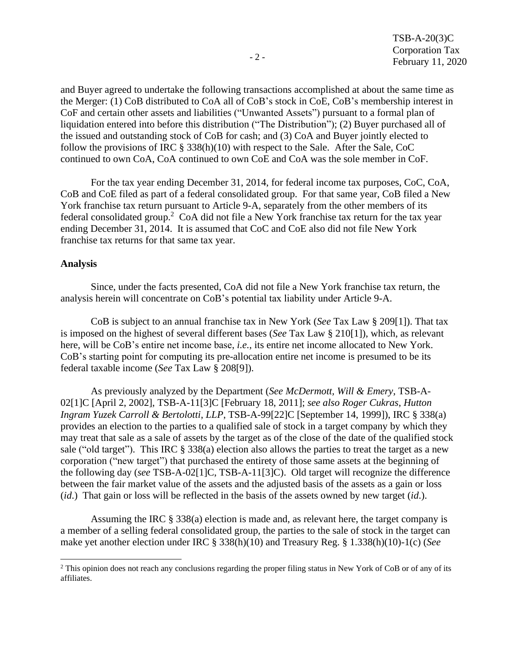and Buyer agreed to undertake the following transactions accomplished at about the same time as the Merger: (1) CoB distributed to CoA all of CoB's stock in CoE, CoB's membership interest in CoF and certain other assets and liabilities ("Unwanted Assets") pursuant to a formal plan of liquidation entered into before this distribution ("The Distribution"); (2) Buyer purchased all of the issued and outstanding stock of CoB for cash; and (3) CoA and Buyer jointly elected to follow the provisions of IRC § 338(h)(10) with respect to the Sale. After the Sale, CoC continued to own CoA, CoA continued to own CoE and CoA was the sole member in CoF.

For the tax year ending December 31, 2014, for federal income tax purposes, CoC, CoA, CoB and CoE filed as part of a federal consolidated group. For that same year, CoB filed a New York franchise tax return pursuant to Article 9-A, separately from the other members of its federal consolidated group.<sup>2</sup> CoA did not file a New York franchise tax return for the tax year ending December 31, 2014. It is assumed that CoC and CoE also did not file New York franchise tax returns for that same tax year.

#### **Analysis**

Since, under the facts presented, CoA did not file a New York franchise tax return, the analysis herein will concentrate on CoB's potential tax liability under Article 9-A.

CoB is subject to an annual franchise tax in New York (*See* Tax Law § 209[1]). That tax is imposed on the highest of several different bases (*See* Tax Law § 210[1]), which, as relevant here, will be CoB's entire net income base, *i.e.*, its entire net income allocated to New York. CoB's starting point for computing its pre-allocation entire net income is presumed to be its federal taxable income (*See* Tax Law § 208[9]).

As previously analyzed by the Department (*See McDermott, Will & Emery*, TSB-A-02[1]C [April 2, 2002], TSB-A-11[3]C [February 18, 2011]; *see also Roger Cukras*, *Hutton Ingram Yuzek Carroll & Bertolotti*, *LLP*, TSB-A-99[22]C [September 14, 1999]), IRC § 338(a) provides an election to the parties to a qualified sale of stock in a target company by which they may treat that sale as a sale of assets by the target as of the close of the date of the qualified stock sale ("old target"). This IRC § 338(a) election also allows the parties to treat the target as a new corporation ("new target") that purchased the entirety of those same assets at the beginning of the following day (*see* TSB-A-02[1]C, TSB-A-11[3]C). Old target will recognize the difference between the fair market value of the assets and the adjusted basis of the assets as a gain or loss (*id*.) That gain or loss will be reflected in the basis of the assets owned by new target (*id*.).

Assuming the IRC § 338(a) election is made and, as relevant here, the target company is a member of a selling federal consolidated group, the parties to the sale of stock in the target can make yet another election under IRC § 338(h)(10) and Treasury Reg. § 1.338(h)(10)-1(c) (*See*

<sup>&</sup>lt;sup>2</sup> This opinion does not reach any conclusions regarding the proper filing status in New York of CoB or of any of its affiliates.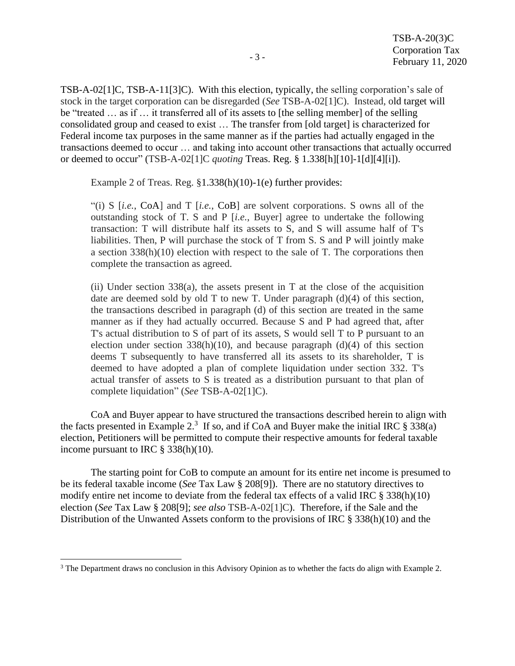TSB-A-02[1]C, TSB-A-11[3]C). With this election, typically, the selling corporation's sale of stock in the target corporation can be disregarded (*See* TSB-A-02[1]C). Instead, old target will be "treated … as if … it transferred all of its assets to [the selling member] of the selling consolidated group and ceased to exist … The transfer from [old target] is characterized for Federal income tax purposes in the same manner as if the parties had actually engaged in the transactions deemed to occur … and taking into account other transactions that actually occurred or deemed to occur" (TSB-A-02[1]C *quoting* Treas. Reg. § 1.338[h][10]-1[d][4][i]).

Example 2 of Treas. Reg. §1.338(h)(10)-1(e) further provides:

"(i) S [*i.e.*, CoA] and T [*i.e.*, CoB] are solvent corporations. S owns all of the outstanding stock of T. S and P [*i.e.*, Buyer] agree to undertake the following transaction: T will distribute half its assets to S, and S will assume half of T's liabilities. Then, P will purchase the stock of T from S. S and P will jointly make a section 338(h)(10) election with respect to the sale of T. The corporations then complete the transaction as agreed.

(ii) Under section  $338(a)$ , the assets present in T at the close of the acquisition date are deemed sold by old T to new T. Under paragraph (d)(4) of this section, the transactions described in paragraph (d) of this section are treated in the same manner as if they had actually occurred. Because S and P had agreed that, after T's actual distribution to S of part of its assets, S would sell T to P pursuant to an election under section  $338(h)(10)$ , and because paragraph (d)(4) of this section deems T subsequently to have transferred all its assets to its shareholder, T is deemed to have adopted a plan of complete liquidation under section 332. T's actual transfer of assets to S is treated as a distribution pursuant to that plan of complete liquidation" (*See* TSB-A-02[1]C).

CoA and Buyer appear to have structured the transactions described herein to align with the facts presented in Example 2.<sup>3</sup> If so, and if CoA and Buyer make the initial IRC  $\S 338(a)$ election, Petitioners will be permitted to compute their respective amounts for federal taxable income pursuant to IRC § 338(h)(10).

The starting point for CoB to compute an amount for its entire net income is presumed to be its federal taxable income (*See* Tax Law § 208[9]). There are no statutory directives to modify entire net income to deviate from the federal tax effects of a valid IRC § 338(h)(10) election (*See* Tax Law § 208[9]; *see also* TSB-A-02[1]C). Therefore, if the Sale and the Distribution of the Unwanted Assets conform to the provisions of IRC § 338(h)(10) and the

<sup>&</sup>lt;sup>3</sup> The Department draws no conclusion in this Advisory Opinion as to whether the facts do align with Example 2.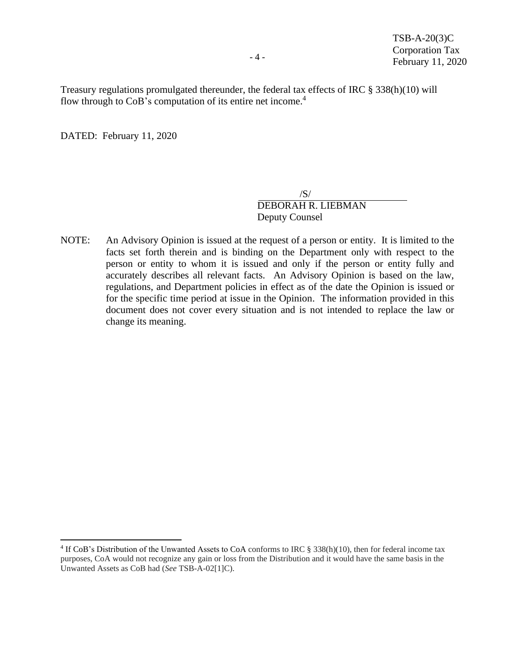Treasury regulations promulgated thereunder, the federal tax effects of IRC § 338(h)(10) will flow through to CoB's computation of its entire net income.<sup>4</sup>

DATED: February 11, 2020

 $/S/$ DEBORAH R. LIEBMAN Deputy Counsel

NOTE: An Advisory Opinion is issued at the request of a person or entity. It is limited to the facts set forth therein and is binding on the Department only with respect to the person or entity to whom it is issued and only if the person or entity fully and accurately describes all relevant facts. An Advisory Opinion is based on the law, regulations, and Department policies in effect as of the date the Opinion is issued or for the specific time period at issue in the Opinion. The information provided in this document does not cover every situation and is not intended to replace the law or change its meaning.

<sup>&</sup>lt;sup>4</sup> If CoB's Distribution of the Unwanted Assets to CoA conforms to IRC § 338(h)(10), then for federal income tax purposes, CoA would not recognize any gain or loss from the Distribution and it would have the same basis in the Unwanted Assets as CoB had (*See* TSB-A-02[1]C).